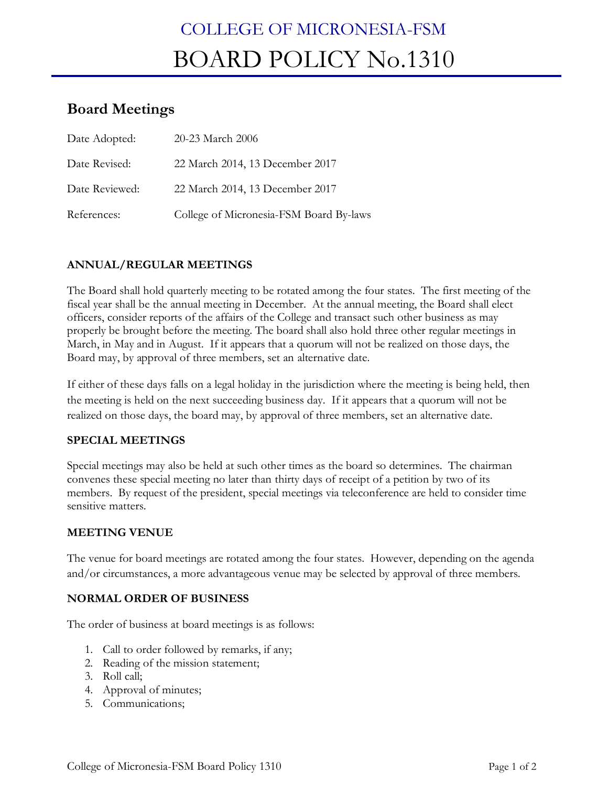# COLLEGE OF MICRONESIA-FSM BOARD POLICY No.1310

# **Board Meetings**

| Date Adopted:  | 20-23 March 2006                        |
|----------------|-----------------------------------------|
| Date Revised:  | 22 March 2014, 13 December 2017         |
| Date Reviewed: | 22 March 2014, 13 December 2017         |
| References:    | College of Micronesia-FSM Board By-laws |

## **ANNUAL/REGULAR MEETINGS**

The Board shall hold quarterly meeting to be rotated among the four states. The first meeting of the fiscal year shall be the annual meeting in December. At the annual meeting, the Board shall elect officers, consider reports of the affairs of the College and transact such other business as may properly be brought before the meeting. The board shall also hold three other regular meetings in March, in May and in August. If it appears that a quorum will not be realized on those days, the Board may, by approval of three members, set an alternative date.

If either of these days falls on a legal holiday in the jurisdiction where the meeting is being held, then the meeting is held on the next succeeding business day. If it appears that a quorum will not be realized on those days, the board may, by approval of three members, set an alternative date.

#### **SPECIAL MEETINGS**

Special meetings may also be held at such other times as the board so determines. The chairman convenes these special meeting no later than thirty days of receipt of a petition by two of its members. By request of the president, special meetings via teleconference are held to consider time sensitive matters.

#### **MEETING VENUE**

The venue for board meetings are rotated among the four states. However, depending on the agenda and/or circumstances, a more advantageous venue may be selected by approval of three members.

#### **NORMAL ORDER OF BUSINESS**

The order of business at board meetings is as follows:

- 1. Call to order followed by remarks, if any;
- 2. Reading of the mission statement;
- 3. Roll call;
- 4. Approval of minutes;
- 5. Communications;